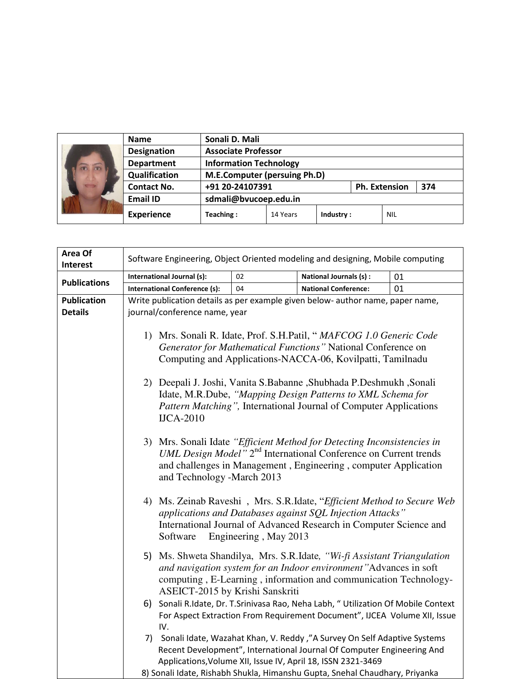|  | <b>Name</b>        |                                     |          |           |  |               |     |  |
|--|--------------------|-------------------------------------|----------|-----------|--|---------------|-----|--|
|  | <b>Designation</b> | <b>Associate Professor</b>          |          |           |  |               |     |  |
|  | <b>Department</b>  | <b>Information Technology</b>       |          |           |  |               |     |  |
|  | Qualification      | <b>M.E.Computer (persuing Ph.D)</b> |          |           |  |               |     |  |
|  | <b>Contact No.</b> | +91 20-24107391                     |          |           |  | Ph. Extension | 374 |  |
|  | <b>Email ID</b>    | sdmali@bvucoep.edu.in               |          |           |  |               |     |  |
|  | <b>Experience</b>  | Teaching:                           | 14 Years | Industry: |  | <b>NIL</b>    |     |  |

| Area Of<br>Interest                  | Software Engineering, Object Oriented modeling and designing, Mobile computing                                                                                                                                              |                       |                                                                                                                                                                                                                                                                                                      |    |  |  |  |  |
|--------------------------------------|-----------------------------------------------------------------------------------------------------------------------------------------------------------------------------------------------------------------------------|-----------------------|------------------------------------------------------------------------------------------------------------------------------------------------------------------------------------------------------------------------------------------------------------------------------------------------------|----|--|--|--|--|
| <b>Publications</b>                  | International Journal (s):                                                                                                                                                                                                  | 02                    | <b>National Journals (s):</b>                                                                                                                                                                                                                                                                        | 01 |  |  |  |  |
|                                      | <b>International Conference (s):</b>                                                                                                                                                                                        | 04                    | <b>National Conference:</b>                                                                                                                                                                                                                                                                          | 01 |  |  |  |  |
| <b>Publication</b><br><b>Details</b> | Write publication details as per example given below- author name, paper name,<br>journal/conference name, year                                                                                                             |                       |                                                                                                                                                                                                                                                                                                      |    |  |  |  |  |
|                                      | 1) Mrs. Sonali R. Idate, Prof. S.H.Patil, "MAFCOG 1.0 Generic Code<br>Generator for Mathematical Functions" National Conference on<br>Computing and Applications-NACCA-06, Kovilpatti, Tamilnadu                            |                       |                                                                                                                                                                                                                                                                                                      |    |  |  |  |  |
|                                      | 2) Deepali J. Joshi, Vanita S.Babanne , Shubhada P.Deshmukh, Sonali<br>Idate, M.R.Dube, "Mapping Design Patterns to XML Schema for<br>Pattern Matching", International Journal of Computer Applications<br><b>IJCA-2010</b> |                       |                                                                                                                                                                                                                                                                                                      |    |  |  |  |  |
|                                      | and Technology -March 2013                                                                                                                                                                                                  |                       | 3) Mrs. Sonali Idate "Efficient Method for Detecting Inconsistencies in<br>UML Design Model" 2 <sup>nd</sup> International Conference on Current trends<br>and challenges in Management, Engineering, computer Application                                                                           |    |  |  |  |  |
|                                      | Software                                                                                                                                                                                                                    | Engineering, May 2013 | 4) Ms. Zeinab Raveshi, Mrs. S.R.Idate, "Efficient Method to Secure Web<br>applications and Databases against SQL Injection Attacks"<br>International Journal of Advanced Research in Computer Science and                                                                                            |    |  |  |  |  |
|                                      | ASEICT-2015 by Krishi Sanskriti                                                                                                                                                                                             |                       | 5) Ms. Shweta Shandilya, Mrs. S.R.Idate, "Wi-fi Assistant Triangulation<br>and navigation system for an Indoor environment" Advances in soft<br>computing, E-Learning, information and communication Technology-                                                                                     |    |  |  |  |  |
|                                      | IV.                                                                                                                                                                                                                         |                       | 6) Sonali R.Idate, Dr. T.Srinivasa Rao, Neha Labh, " Utilization Of Mobile Context<br>For Aspect Extraction From Requirement Document", IJCEA Volume XII, Issue                                                                                                                                      |    |  |  |  |  |
|                                      |                                                                                                                                                                                                                             |                       | 7) Sonali Idate, Wazahat Khan, V. Reddy, "A Survey On Self Adaptive Systems<br>Recent Development", International Journal Of Computer Engineering And<br>Applications, Volume XII, Issue IV, April 18, ISSN 2321-3469<br>8) Sonali Idate, Rishabh Shukla, Himanshu Gupta, Snehal Chaudhary, Priyanka |    |  |  |  |  |